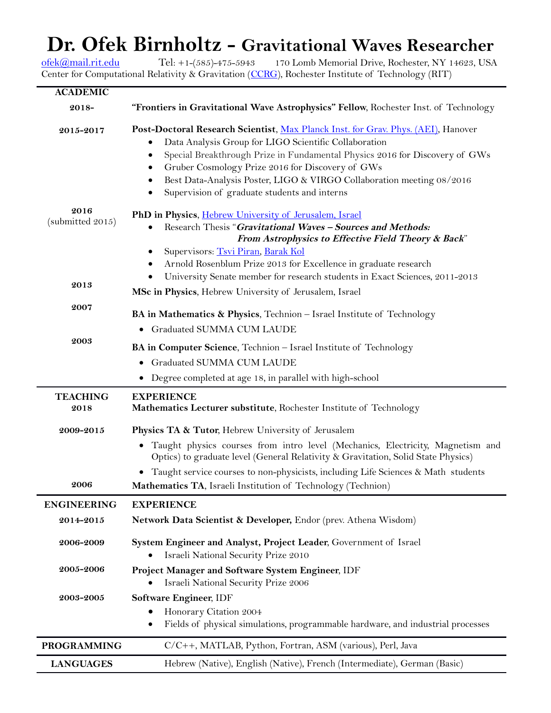# **Dr. Ofek Birnholtz - Gravitational Waves Researcher**<br>Tel: +1-(585)-475-5943 170 Lomb Memorial Drive, Rochester, NY 14623, USA

[ofek@mail.rit.edu](mailto:ofek.birnholtz@ligo.org) Tel: +1-(585)-475-5943 170 Lomb Memorial Drive, Rochester, NY 14623, USA Center for Computational Relativity & Gravitation [\(CCRG\)](http://ccrg.rit.edu/), Rochester Institute of Technology (RIT)

| <b>ACADEMIC</b>                |                                                                                                                                                                     |
|--------------------------------|---------------------------------------------------------------------------------------------------------------------------------------------------------------------|
| 2018-                          | "Frontiers in Gravitational Wave Astrophysics" Fellow, Rochester Inst. of Technology                                                                                |
| 2015-2017                      | Post-Doctoral Research Scientist, Max Planck Inst. for Grav. Phys. (AEI), Hanover                                                                                   |
|                                | Data Analysis Group for LIGO Scientific Collaboration                                                                                                               |
|                                | Special Breakthrough Prize in Fundamental Physics 2016 for Discovery of GWs<br>٠                                                                                    |
|                                | Gruber Cosmology Prize 2016 for Discovery of GWs<br>٠                                                                                                               |
|                                | Best Data-Analysis Poster, LIGO & VIRGO Collaboration meeting 08/2016<br>٠                                                                                          |
|                                | Supervision of graduate students and interns<br>٠                                                                                                                   |
| 2016                           | PhD in Physics, Hebrew University of Jerusalem, Israel                                                                                                              |
| (submitted 2015)               | Research Thesis "Gravitational Waves - Sources and Methods:<br>$\bullet$                                                                                            |
|                                | From Astrophysics to Effective Field Theory & Back"                                                                                                                 |
|                                | Supervisors: Tsvi Piran, Barak Kol<br>٠                                                                                                                             |
|                                | Arnold Rosenblum Prize 2013 for Excellence in graduate research                                                                                                     |
|                                | ٠                                                                                                                                                                   |
| 2013                           | University Senate member for research students in Exact Sciences, 2011-2013<br>٠                                                                                    |
|                                | MSc in Physics, Hebrew University of Jerusalem, Israel                                                                                                              |
| 2007                           | BA in Mathematics & Physics, Technion - Israel Institute of Technology                                                                                              |
|                                | • Graduated SUMMA CUM LAUDE                                                                                                                                         |
| 2003                           | BA in Computer Science, Technion - Israel Institute of Technology                                                                                                   |
|                                | Graduated SUMMA CUM LAUDE<br>$\bullet$                                                                                                                              |
|                                | Degree completed at age 18, in parallel with high-school                                                                                                            |
| <b>TEACHING</b>                | <b>EXPERIENCE</b>                                                                                                                                                   |
| 2018                           | Mathematics Lecturer substitute, Rochester Institute of Technology                                                                                                  |
| 2009-2015                      | Physics TA & Tutor, Hebrew University of Jerusalem                                                                                                                  |
|                                | Taught physics courses from intro level (Mechanics, Electricity, Magnetism and<br>Optics) to graduate level (General Relativity & Gravitation, Solid State Physics) |
|                                | Taught service courses to non-physicists, including Life Sciences & Math students                                                                                   |
| 2006                           | Mathematics TA, Israeli Institution of Technology (Technion)                                                                                                        |
| <b>ENGINEERING</b>             | <b>EXPERIENCE</b>                                                                                                                                                   |
| 2014-2015                      | Network Data Scientist & Developer, Endor (prev. Athena Wisdom)                                                                                                     |
| 2006-2009                      | System Engineer and Analyst, Project Leader, Government of Israel                                                                                                   |
|                                | Israeli National Security Prize 2010                                                                                                                                |
| 2005-2006                      | Project Manager and Software System Engineer, IDF                                                                                                                   |
|                                | Israeli National Security Prize 2006                                                                                                                                |
| ${\bf 2003}\mbox{-}{\bf 2005}$ | Software Engineer, IDF                                                                                                                                              |
|                                |                                                                                                                                                                     |
|                                | Honorary Citation 2004                                                                                                                                              |
|                                | Fields of physical simulations, programmable hardware, and industrial processes                                                                                     |
| <b>PROGRAMMING</b>             | C/C++, MATLAB, Python, Fortran, ASM (various), Perl, Java                                                                                                           |
| <b>LANGUAGES</b>               | Hebrew (Native), English (Native), French (Intermediate), German (Basic)                                                                                            |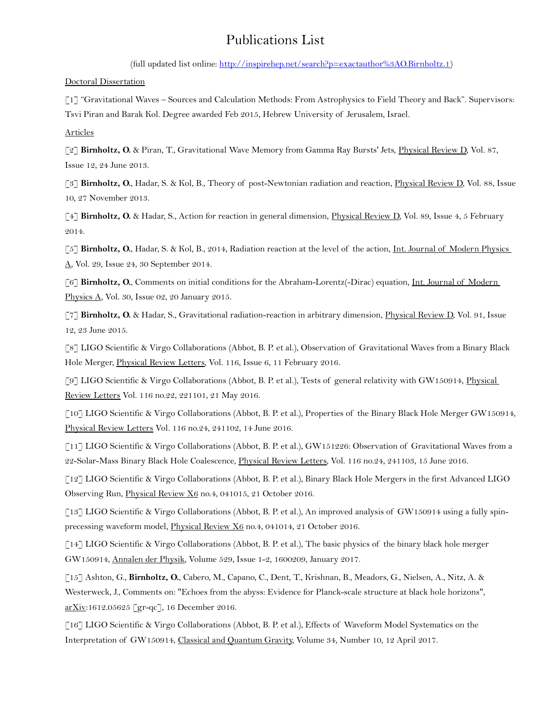## Publications List

(full updated list online: [http://inspirehep.net/search?p=exactauthor%3AO.Birnholtz.1\)](http://inspirehep.net/search?p=exactauthor:O.Birnholtz.1)

Doctoral Dissertation

[1] "Gravitational Waves – Sources and Calculation Methods: From Astrophysics to Field Theory and Back". Supervisors: Tsvi Piran and Barak Kol. Degree awarded Feb 2015, Hebrew University of Jerusalem, Israel.

Articles

[2] **Birnholtz, O.** & Piran, T., Gravitational Wave Memory from Gamma Ray Bursts' Jets, Physical Review D, Vol. 87, Issue 12, 24 June 2013.

[3] **Birnholtz, O.**, Hadar, S. & Kol, B., Theory of post-Newtonian radiation and reaction, Physical Review D, Vol. 88, Issue 10, 27 November 2013.

[4] **Birnholtz, O.** & Hadar, S., Action for reaction in general dimension, Physical Review D, Vol. 89, Issue 4, 5 February 2014.

[5] **Birnholtz, O.**, Hadar, S. & Kol, B., 2014, Radiation reaction at the level of the action, Int. Journal of Modern Physics A, Vol. 29, Issue 24, 30 September 2014.

[6] **Birnholtz, O.**, Comments on initial conditions for the Abraham-Lorentz(-Dirac) equation, Int. Journal of Modern Physics A, Vol. 30, Issue 02, 20 January 2015.

[7] **Birnholtz, O.** & Hadar, S., Gravitational radiation-reaction in arbitrary dimension, Physical Review D, Vol. 91, Issue 12, 23 June 2015.

[8] LIGO Scientific & Virgo Collaborations (Abbot, B. P. et al.), Observation of Gravitational Waves from a Binary Black Hole Merger, Physical Review Letters, Vol. 116, Issue 6, 11 February 2016.

[9] LIGO Scientific & Virgo Collaborations (Abbot, B. P. et al.), Tests of general relativity with GW150914, Physical Review Letters Vol. 116 no.22, 221101, 21 May 2016.

[10] LIGO Scientific & Virgo Collaborations (Abbot, B. P. et al.), Properties of the Binary Black Hole Merger GW150914, Physical Review Letters Vol. 116 no.24, 241102, 14 June 2016.

[11] LIGO Scientific & Virgo Collaborations (Abbot, B. P. et al.), GW151226: Observation of Gravitational Waves from a 22-Solar-Mass Binary Black Hole Coalescence, Physical Review Letters, Vol. 116 no.24, 241103, 15 June 2016.

[12] LIGO Scientific & Virgo Collaborations (Abbot, B. P. et al.), Binary Black Hole Mergers in the first Advanced LIGO Observing Run, Physical Review X6 no.4, 041015, 21 October 2016.

[13] LIGO Scientific & Virgo Collaborations (Abbot, B. P. et al.), An improved analysis of GW150914 using a fully spinprecessing waveform model, Physical Review X6 no.4, 041014, 21 October 2016.

[14] LIGO Scientific & Virgo Collaborations (Abbot, B. P. et al.), The basic physics of the binary black hole merger GW150914, Annalen der Physik, Volume 529, Issue 1-2, 1600209, January 2017.

[15] Ashton, G., **Birnholtz, O.**, Cabero, M., Capano, C., Dent, T., Krishnan, B., Meadors, G., Nielsen, A., Nitz, A. & Westerweck, J., Comments on: "Echoes from the abyss: Evidence for Planck-scale structure at black hole horizons", arXiv:1612.05625 [gr-qc], 16 December 2016.

[16] LIGO Scientific & Virgo Collaborations (Abbot, B. P. et al.), Effects of Waveform Model Systematics on the Interpretation of GW150914, Classical and Quantum Gravity, Volume 34, Number 10, 12 April 2017.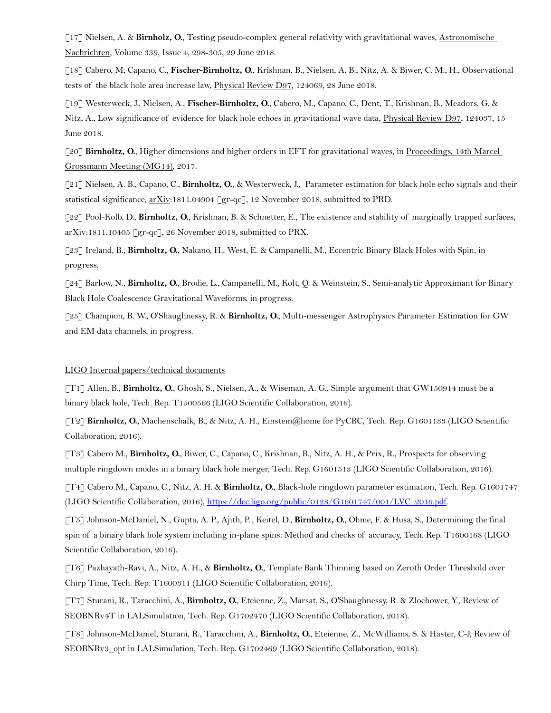[17] Nielsen, A. & **Birnholz, O.**, Testing pseudo-complex general relativity with gravitational waves, Astronomische Nachrichten, Volume 339, Issue 4, 298-305, 29 June 2018.

[18] Cabero, M, Capano, C., **Fischer-Birnholtz, O.**, Krishnan, B., Nielsen, A. B., Nitz, A. & Biwer, C. M., H., Observational tests of the black hole area increase law, Physical Review D97, 124069, 28 June 2018.

[19] Westerweck, J., Nielsen, A., **Fischer-Birnholtz, O.**, Cabero, M., Capano, C., Dent, T., Krishnan, B., Meadors, G. & Nitz, A., Low significance of evidence for black hole echoes in gravitational wave data, Physical Review D97, 124037, 15 June 2018.

[20] **Birnholtz, O.**, Higher dimensions and higher orders in EFT for gravitational waves, in Proceedings, 14th Marcel Grossmann Meeting (MG14), 2017.

[21] Nielsen, A. B., Capano, C., **Birnholtz, O.**, & Westerweck, J., Parameter estimation for black hole echo signals and their statistical significance,  $\frac{arXiv:1811.04904}{er-qc}$ , 12 November 2018, submitted to PRD.

[22] Pool-Kolb, D., **Birnholtz, O.**, Krishnan, B. & Schnetter, E., The existence and stability of marginally trapped surfaces, arXiv:1811.10405 [gr-qc], 26 November 2018, submitted to PRX.

[23] Ireland, B., **Birnholtz, O.**, Nakano, H., West, E. & Campanelli, M., Eccentric Binary Black Holes with Spin, in progress.

[24] Barlow, N., **Birnholtz, O.**, Brodie, L., Campanelli, M., Kolt, Q. & Weinstein, S., Semi-analytic Approximant for Binary Black Hole Coalescence Gravitational Waveforms, in progress.

[25] Champion, B. W., O'Shaughnessy, R. & **Birnholtz, O.**, Multi-messenger Astrophysics Parameter Estimation for GW and EM data channels, in progress.

#### LIGO Internal papers/technical documents

[T1] Allen, B., **Birnholtz, O.**, Ghosh, S., Nielsen, A., & Wiseman, A. G., Simple argument that GW150914 must be a binary black hole, Tech. Rep. T1500566 (LIGO Scientific Collaboration, 2016).

[T2] **Birnholtz, O.**, Machenschalk, B., & Nitz, A. H., Einstein@home for PyCBC, Tech. Rep. G1601133 (LIGO Scientific Collaboration, 2016).

[T3] Cabero M., **Birnholtz, O.**, Biwer, C., Capano, C., Krishnan, B., Nitz, A. H., & Prix, R., Prospects for observing multiple ringdown modes in a binary black hole merger, Tech. Rep. G1601513 (LIGO Scientific Collaboration, 2016).

[T4] Cabero M., Capano, C., Nitz, A. H. & **Birnholtz, O.**, Black-hole ringdown parameter estimation, Tech. Rep. G1601747 (LIGO Scientific Collaboration, 2016), [https://dcc.ligo.org/public/0128/G1601747/001/LVC\\_2016.pdf.](https://dcc.ligo.org/public/0128/G1601747/001/LVC_2016.pdf)

[T5] Johnson-McDaniel, N., Gupta, A. P., Ajith, P. , Keitel, D., **Birnholtz, O.**, Ohme, F. & Husa, S., Determining the final spin of a binary black hole system including in-plane spins: Method and checks of accuracy, Tech. Rep. T1600168 (LIGO Scientific Collaboration, 2016).

[T6] Pazhayath-Ravi, A., Nitz, A. H., & **Birnholtz, O.**, Template Bank Thinning based on Zeroth Order Threshold over Chirp Time, Tech. Rep. T1600311 (LIGO Scientific Collaboration, 2016).

[T7] Sturani, R., Taracchini, A., **Birnholtz, O.**, Eteienne, Z., Marsat, S., O'Shaughnessy, R. & Zlochower, Y., Review of SEOBNRv4T in LALSimulation, Tech. Rep. G1702470 (LIGO Scientific Collaboration, 2018).

[T8] Johnson-McDaniel, Sturani, R., Taracchini, A., **Birnholtz, O.**, Eteienne, Z., McWilliams, S. & Haster, C-J, Review of SEOBNRv3\_opt in LALSimulation, Tech. Rep. G1702469 (LIGO Scientific Collaboration, 2018).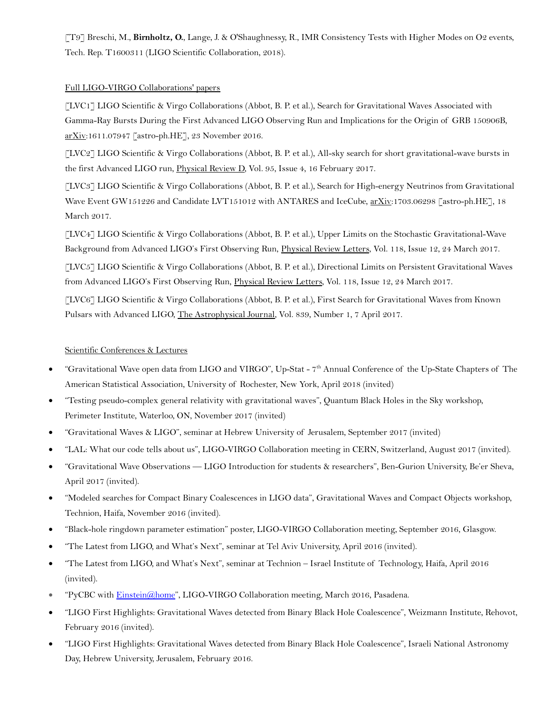[T9] Breschi, M., **Birnholtz, O.**, Lange, J. & O'Shaughnessy, R., IMR Consistency Tests with Higher Modes on O2 events, Tech. Rep. T1600311 (LIGO Scientific Collaboration, 2018).

#### Full LIGO-VIRGO Collaborations' papers

[LVC1] LIGO Scientific & Virgo Collaborations (Abbot, B. P. et al.), Search for Gravitational Waves Associated with Gamma-Ray Bursts During the First Advanced LIGO Observing Run and Implications for the Origin of GRB 150906B, arXiv:1611.07947 [astro-ph.HE], 23 November 2016.

[LVC2] LIGO Scientific & Virgo Collaborations (Abbot, B. P. et al.), All-sky search for short gravitational-wave bursts in the first Advanced LIGO run, *Physical Review D*, Vol. 95, Issue 4, 16 February 2017.

[LVC3] LIGO Scientific & Virgo Collaborations (Abbot, B. P. et al.), Search for High-energy Neutrinos from Gravitational Wave Event GW151226 and Candidate LVT151012 with ANTARES and IceCube, arXiv:1703.06298 [astro-ph.HE], 18 March 2017.

[LVC4] LIGO Scientific & Virgo Collaborations (Abbot, B. P. et al.), Upper Limits on the Stochastic Gravitational-Wave Background from Advanced LIGO's First Observing Run, Physical Review Letters, Vol. 118, Issue 12, 24 March 2017.

[LVC5] LIGO Scientific & Virgo Collaborations (Abbot, B. P. et al.), Directional Limits on Persistent Gravitational Waves from Advanced LIGO's First Observing Run, Physical Review Letters, Vol. 118, Issue 12, 24 March 2017.

[LVC6] LIGO Scientific & Virgo Collaborations (Abbot, B. P. et al.), First Search for Gravitational Waves from Known Pulsars with Advanced LIGO, The Astrophysical Journal, Vol. 839, Number 1, 7 April 2017.

### Scientific Conferences & Lectures

- "Gravitational Wave open data from LIGO and VIRGO", Up-Stat 7th Annual Conference of the Up-State Chapters of The American Statistical Association, University of Rochester, New York, April 2018 (invited)
- "Testing pseudo-complex general relativity with gravitational waves", Quantum Black Holes in the Sky workshop, Perimeter Institute, Waterloo, ON, November 2017 (invited)
- "Gravitational Waves & LIGO", seminar at Hebrew University of Jerusalem, September 2017 (invited)
- "LAL: What our code tells about us", LIGO-VIRGO Collaboration meeting in CERN, Switzerland, August 2017 (invited).
- "Gravitational Wave Observations LIGO Introduction for students & researchers", Ben-Gurion University, Be'er Sheva, April 2017 (invited).
- "Modeled searches for Compact Binary Coalescences in LIGO data", Gravitational Waves and Compact Objects workshop, Technion, Haifa, November 2016 (invited).
- "Black-hole ringdown parameter estimation" poster, LIGO-VIRGO Collaboration meeting, September 2016, Glasgow.
- "The Latest from LIGO, and What's Next", seminar at Tel Aviv University, April 2016 (invited).
- "The Latest from LIGO, and What's Next", seminar at Technion Israel Institute of Technology, Haifa, April 2016 (invited).
- "PyCBC with [Einstein@home"](mailto:Einstein@home), LIGO-VIRGO Collaboration meeting, March 2016, Pasadena.
- "LIGO First Highlights: Gravitational Waves detected from Binary Black Hole Coalescence", Weizmann Institute, Rehovot, February 2016 (invited).
- "LIGO First Highlights: Gravitational Waves detected from Binary Black Hole Coalescence", Israeli National Astronomy Day, Hebrew University, Jerusalem, February 2016.